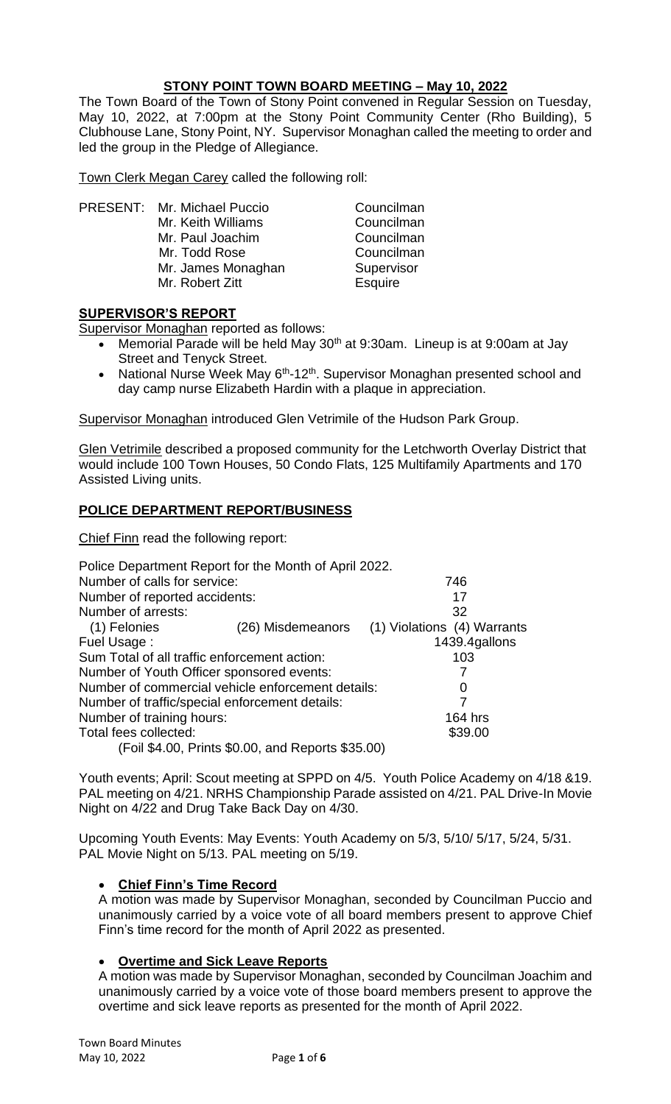## **STONY POINT TOWN BOARD MEETING – May 10, 2022**

The Town Board of the Town of Stony Point convened in Regular Session on Tuesday, May 10, 2022, at 7:00pm at the Stony Point Community Center (Rho Building), 5 Clubhouse Lane, Stony Point, NY. Supervisor Monaghan called the meeting to order and led the group in the Pledge of Allegiance.

Town Clerk Megan Carey called the following roll:

PRESENT: Mr. Michael Puccio Councilman Mr. Keith Williams Councilman Mr. Paul Joachim Councilman<br>
Mr. Todd Rose Councilman Mr. Todd Rose Mr. James Monaghan Supervisor Mr. Robert Zitt **Esquire** 

## **SUPERVISOR'S REPORT**

Supervisor Monaghan reported as follows:

- Memorial Parade will be held May 30<sup>th</sup> at 9:30am. Lineup is at 9:00am at Jay Street and Tenyck Street.
- National Nurse Week May  $6<sup>th</sup>$ -12<sup>th</sup>. Supervisor Monaghan presented school and day camp nurse Elizabeth Hardin with a plaque in appreciation.

Supervisor Monaghan introduced Glen Vetrimile of the Hudson Park Group.

Glen Vetrimile described a proposed community for the Letchworth Overlay District that would include 100 Town Houses, 50 Condo Flats, 125 Multifamily Apartments and 170 Assisted Living units.

## **POLICE DEPARTMENT REPORT/BUSINESS**

Chief Finn read the following report:

| Number of calls for service:                   | 746                                                                                                                                                             |
|------------------------------------------------|-----------------------------------------------------------------------------------------------------------------------------------------------------------------|
| Number of reported accidents:                  | 17                                                                                                                                                              |
|                                                | 32                                                                                                                                                              |
| (26) Misdemeanors                              | (1) Violations (4) Warrants                                                                                                                                     |
|                                                | 1439.4gallons                                                                                                                                                   |
| Sum Total of all traffic enforcement action:   | 103                                                                                                                                                             |
| Number of Youth Officer sponsored events:      |                                                                                                                                                                 |
|                                                | 0                                                                                                                                                               |
| Number of traffic/special enforcement details: |                                                                                                                                                                 |
|                                                | 164 hrs                                                                                                                                                         |
|                                                | \$39.00                                                                                                                                                         |
|                                                |                                                                                                                                                                 |
|                                                | Police Department Report for the Month of April 2022.<br>Number of commercial vehicle enforcement details:<br>(Foil \$4.00, Prints \$0.00, and Reports \$35.00) |

Youth events; April: Scout meeting at SPPD on 4/5. Youth Police Academy on 4/18 &19. PAL meeting on 4/21. NRHS Championship Parade assisted on 4/21. PAL Drive-In Movie Night on 4/22 and Drug Take Back Day on 4/30.

Upcoming Youth Events: May Events: Youth Academy on 5/3, 5/10/ 5/17, 5/24, 5/31. PAL Movie Night on 5/13. PAL meeting on 5/19.

## • **Chief Finn's Time Record**

A motion was made by Supervisor Monaghan, seconded by Councilman Puccio and unanimously carried by a voice vote of all board members present to approve Chief Finn's time record for the month of April 2022 as presented.

## • **Overtime and Sick Leave Reports**

A motion was made by Supervisor Monaghan, seconded by Councilman Joachim and unanimously carried by a voice vote of those board members present to approve the overtime and sick leave reports as presented for the month of April 2022.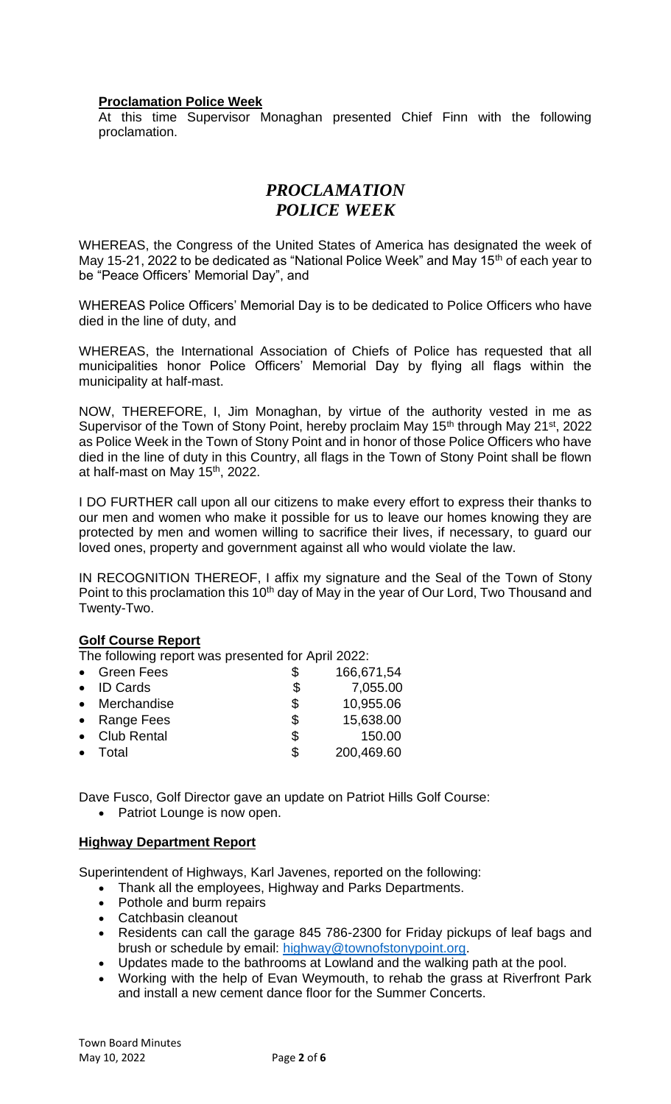#### **Proclamation Police Week**

At this time Supervisor Monaghan presented Chief Finn with the following proclamation.

# *PROCLAMATION POLICE WEEK*

WHEREAS, the Congress of the United States of America has designated the week of May 15-21, 2022 to be dedicated as "National Police Week" and May  $15<sup>th</sup>$  of each year to be "Peace Officers' Memorial Day", and

WHEREAS Police Officers' Memorial Day is to be dedicated to Police Officers who have died in the line of duty, and

WHEREAS, the International Association of Chiefs of Police has requested that all municipalities honor Police Officers' Memorial Day by flying all flags within the municipality at half-mast.

NOW, THEREFORE, I, Jim Monaghan, by virtue of the authority vested in me as Supervisor of the Town of Stony Point, hereby proclaim May 15<sup>th</sup> through May 21<sup>st</sup>, 2022 as Police Week in the Town of Stony Point and in honor of those Police Officers who have died in the line of duty in this Country, all flags in the Town of Stony Point shall be flown at half-mast on May 15th, 2022.

I DO FURTHER call upon all our citizens to make every effort to express their thanks to our men and women who make it possible for us to leave our homes knowing they are protected by men and women willing to sacrifice their lives, if necessary, to guard our loved ones, property and government against all who would violate the law.

IN RECOGNITION THEREOF, I affix my signature and the Seal of the Town of Stony Point to this proclamation this 10<sup>th</sup> day of May in the year of Our Lord, Two Thousand and Twenty-Two.

#### **Golf Course Report**

The following report was presented for April 2022:

| <b>Green Fees</b> | \$<br>166,671,54 |
|-------------------|------------------|
| • ID Cards        | \$<br>7,055.00   |
| • Merchandise     | \$<br>10,955.06  |
| • Range Fees      | \$<br>15,638.00  |
| • Club Rental     | \$<br>150.00     |
| Total             | \$<br>200,469.60 |
|                   |                  |

Dave Fusco, Golf Director gave an update on Patriot Hills Golf Course:

• Patriot Lounge is now open.

#### **Highway Department Report**

Superintendent of Highways, Karl Javenes, reported on the following:

- Thank all the employees, Highway and Parks Departments.
- Pothole and burm repairs
- Catchbasin cleanout
- Residents can call the garage 845 786-2300 for Friday pickups of leaf bags and brush or schedule by email: [highway@townofstonypoint.org.](mailto:highway@townofstonypoint.org)
- Updates made to the bathrooms at Lowland and the walking path at the pool.
- Working with the help of Evan Weymouth, to rehab the grass at Riverfront Park and install a new cement dance floor for the Summer Concerts.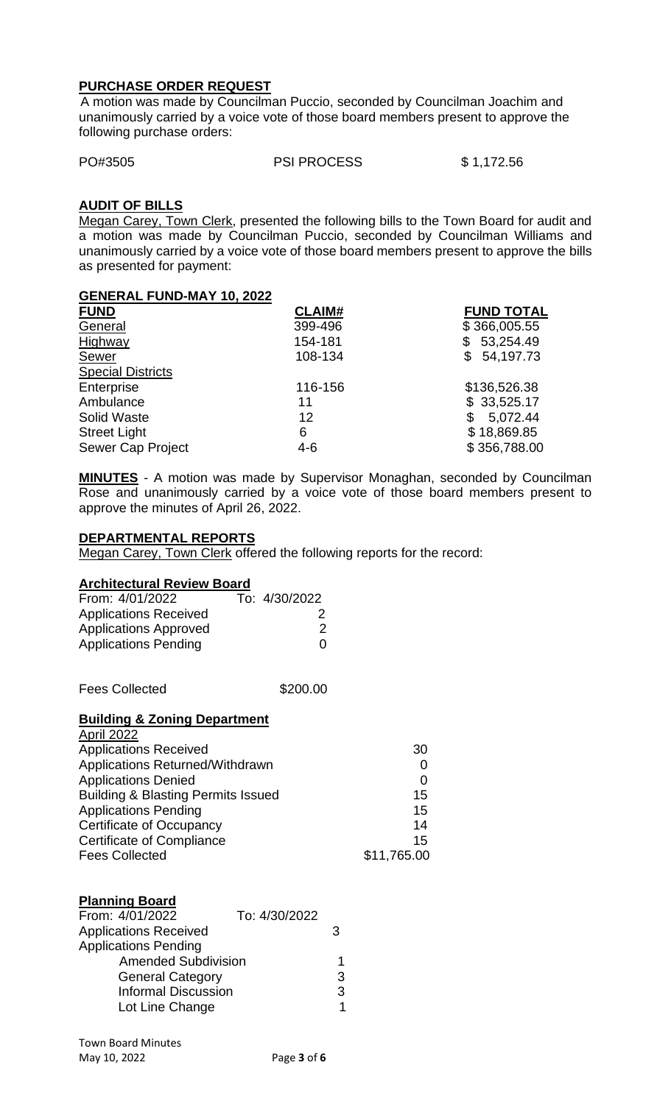#### **PURCHASE ORDER REQUEST**

 A motion was made by Councilman Puccio, seconded by Councilman Joachim and unanimously carried by a voice vote of those board members present to approve the following purchase orders:

PO#3505 PSI PROCESS \$ 1,172.56

#### **AUDIT OF BILLS**

Megan Carey, Town Clerk, presented the following bills to the Town Board for audit and a motion was made by Councilman Puccio, seconded by Councilman Williams and unanimously carried by a voice vote of those board members present to approve the bills as presented for payment:

| <b>GENERAL FUND-MAY 10, 2022</b> |               |                   |
|----------------------------------|---------------|-------------------|
| <b>FUND</b>                      | <b>CLAIM#</b> | <b>FUND TOTAL</b> |
| General                          | 399-496       | \$366,005.55      |
| Highway                          | 154-181       | 53,254.49<br>\$   |
| Sewer                            | 108-134       | \$54,197.73       |
| <b>Special Districts</b>         |               |                   |
| Enterprise                       | 116-156       | \$136,526.38      |
| Ambulance                        | 11            | \$33,525.17       |
| <b>Solid Waste</b>               | 12            | 5,072.44<br>\$    |
| <b>Street Light</b>              | 6             | \$18,869.85       |
| <b>Sewer Cap Project</b>         | $4 - 6$       | \$356,788.00      |

**MINUTES** - A motion was made by Supervisor Monaghan, seconded by Councilman Rose and unanimously carried by a voice vote of those board members present to approve the minutes of April 26, 2022.

#### **DEPARTMENTAL REPORTS**

Megan Carey, Town Clerk offered the following reports for the record:

#### **Architectural Review Board**

| From: 4/01/2022              | To: 4/30/2022 |
|------------------------------|---------------|
| <b>Applications Received</b> | 2             |
| <b>Applications Approved</b> | $\mathcal{P}$ |
| <b>Applications Pending</b>  | $\Omega$      |

Fees Collected  $$200.00$ 

#### **Building & Zoning Department** April 2022

| AVIII LULL                                    |             |
|-----------------------------------------------|-------------|
| <b>Applications Received</b>                  | 30          |
| Applications Returned/Withdrawn               |             |
| <b>Applications Denied</b>                    | 0           |
| <b>Building &amp; Blasting Permits Issued</b> | 15          |
| <b>Applications Pending</b>                   | 15          |
| <b>Certificate of Occupancy</b>               | 14          |
| <b>Certificate of Compliance</b>              | 15          |
| <b>Fees Collected</b>                         | \$11,765.00 |

#### **Planning Board**

| From: 4/01/2022              | To: 4/30/2022 |   |
|------------------------------|---------------|---|
| <b>Applications Received</b> |               | З |
| <b>Applications Pending</b>  |               |   |
| <b>Amended Subdivision</b>   |               | 1 |
| <b>General Category</b>      |               | 3 |
| <b>Informal Discussion</b>   |               | 3 |
| Lot Line Change              |               | 1 |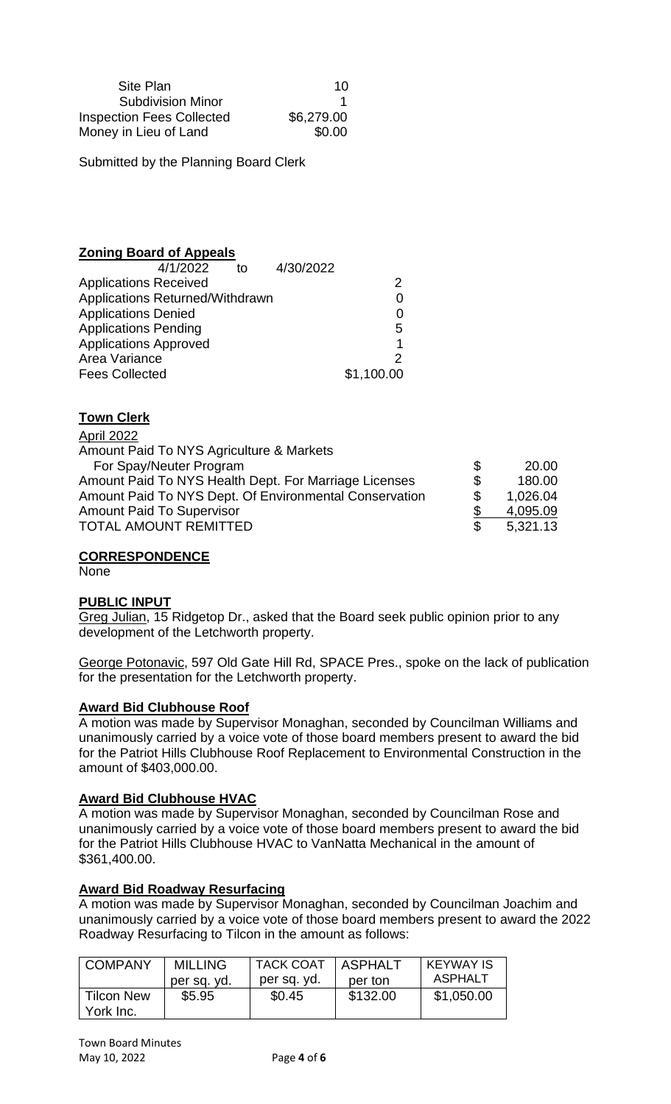| Site Plan                        | 10         |
|----------------------------------|------------|
| <b>Subdivision Minor</b>         |            |
| <b>Inspection Fees Collected</b> | \$6,279.00 |
| Money in Lieu of Land            | \$0.00     |

Submitted by the Planning Board Clerk

#### **Zoning Board of Appeals**

| 4/1/2022<br>to                  | 4/30/2022  |
|---------------------------------|------------|
| <b>Applications Received</b>    |            |
| Applications Returned/Withdrawn | O          |
| <b>Applications Denied</b>      | O          |
| <b>Applications Pending</b>     | 5          |
| <b>Applications Approved</b>    |            |
| Area Variance                   |            |
| <b>Fees Collected</b>           | \$1,100.00 |
|                                 |            |

## **Town Clerk**

April 2022 Amount Paid To NYS Agriculture & Markets For Spay/Neuter Program  $$$  20.00 Amount Paid To NYS Health Dept. For Marriage Licenses  $$3$  180.00<br>Amount Paid To NYS Dept. Of Environmental Conservation  $$3$  1,026.04 Amount Paid To NYS Dept. Of Environmental Conservation  $$ 1,026.04$ <br>Amount Paid To Supervisor  $$ 4,095.09$ Amount Paid To Supervisor **by Contact Studies** 3 4,095.09 TOTAL AMOUNT REMITTED S 5,321.13

#### **CORRESPONDENCE**

None

#### **PUBLIC INPUT**

Greg Julian, 15 Ridgetop Dr., asked that the Board seek public opinion prior to any development of the Letchworth property.

George Potonavic, 597 Old Gate Hill Rd, SPACE Pres., spoke on the lack of publication for the presentation for the Letchworth property.

#### **Award Bid Clubhouse Roof**

A motion was made by Supervisor Monaghan, seconded by Councilman Williams and unanimously carried by a voice vote of those board members present to award the bid for the Patriot Hills Clubhouse Roof Replacement to Environmental Construction in the amount of \$403,000.00.

#### **Award Bid Clubhouse HVAC**

A motion was made by Supervisor Monaghan, seconded by Councilman Rose and unanimously carried by a voice vote of those board members present to award the bid for the Patriot Hills Clubhouse HVAC to VanNatta Mechanical in the amount of \$361,400.00.

#### **Award Bid Roadway Resurfacing**

A motion was made by Supervisor Monaghan, seconded by Councilman Joachim and unanimously carried by a voice vote of those board members present to award the 2022 Roadway Resurfacing to Tilcon in the amount as follows:

| <b>COMPANY</b>                 | <b>MILLING</b> | <b>TACK COAT</b> | <b>ASPHALT</b> | <b>KEYWAY IS</b> |
|--------------------------------|----------------|------------------|----------------|------------------|
|                                | per sq. yd.    | per sq. yd.      | per ton        | ASPHALT          |
| <b>Tilcon New</b><br>York Inc. | \$5.95         | \$0.45           | \$132.00       | \$1,050.00       |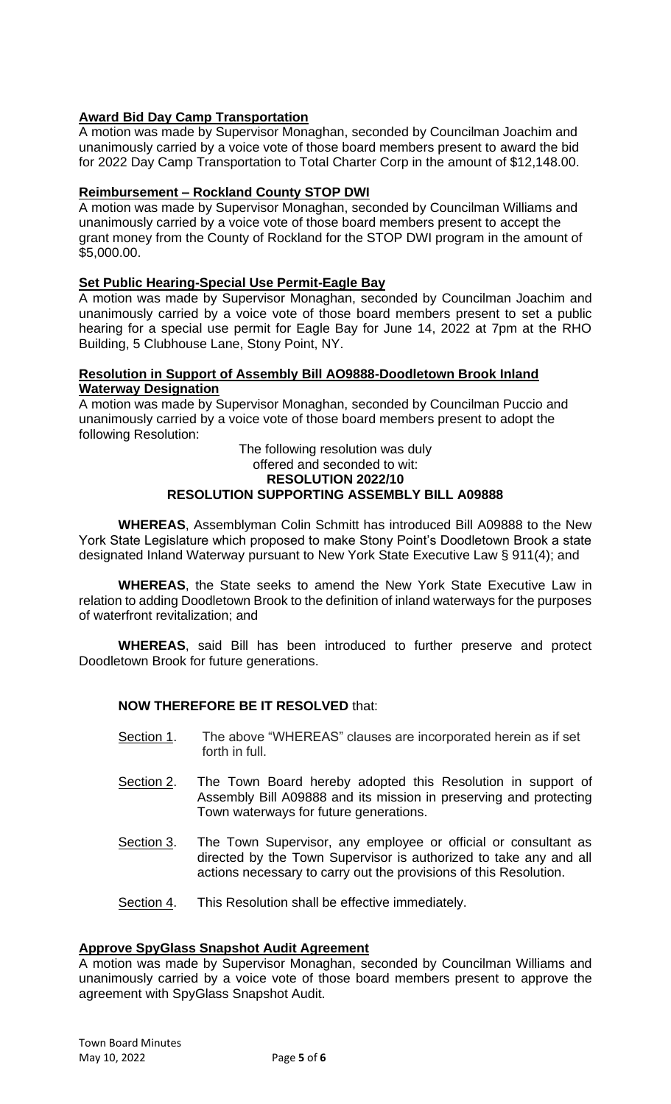## **Award Bid Day Camp Transportation**

A motion was made by Supervisor Monaghan, seconded by Councilman Joachim and unanimously carried by a voice vote of those board members present to award the bid for 2022 Day Camp Transportation to Total Charter Corp in the amount of \$12,148.00.

## **Reimbursement – Rockland County STOP DWI**

A motion was made by Supervisor Monaghan, seconded by Councilman Williams and unanimously carried by a voice vote of those board members present to accept the grant money from the County of Rockland for the STOP DWI program in the amount of \$5,000.00.

## **Set Public Hearing-Special Use Permit-Eagle Bay**

A motion was made by Supervisor Monaghan, seconded by Councilman Joachim and unanimously carried by a voice vote of those board members present to set a public hearing for a special use permit for Eagle Bay for June 14, 2022 at 7pm at the RHO Building, 5 Clubhouse Lane, Stony Point, NY.

#### **Resolution in Support of Assembly Bill AO9888-Doodletown Brook Inland Waterway Designation**

A motion was made by Supervisor Monaghan, seconded by Councilman Puccio and unanimously carried by a voice vote of those board members present to adopt the following Resolution:

#### The following resolution was duly offered and seconded to wit: **RESOLUTION 2022/10 RESOLUTION SUPPORTING ASSEMBLY BILL A09888**

**WHEREAS**, Assemblyman Colin Schmitt has introduced Bill A09888 to the New York State Legislature which proposed to make Stony Point's Doodletown Brook a state designated Inland Waterway pursuant to New York State Executive Law § 911(4); and

**WHEREAS**, the State seeks to amend the New York State Executive Law in relation to adding Doodletown Brook to the definition of inland waterways for the purposes of waterfront revitalization; and

**WHEREAS**, said Bill has been introduced to further preserve and protect Doodletown Brook for future generations.

## **NOW THEREFORE BE IT RESOLVED** that:

- Section 1. The above "WHEREAS" clauses are incorporated herein as if set forth in full.
- Section 2. The Town Board hereby adopted this Resolution in support of Assembly Bill A09888 and its mission in preserving and protecting Town waterways for future generations.
- Section 3. The Town Supervisor, any employee or official or consultant as directed by the Town Supervisor is authorized to take any and all actions necessary to carry out the provisions of this Resolution.
- Section 4. This Resolution shall be effective immediately.

## **Approve SpyGlass Snapshot Audit Agreement**

A motion was made by Supervisor Monaghan, seconded by Councilman Williams and unanimously carried by a voice vote of those board members present to approve the agreement with SpyGlass Snapshot Audit.